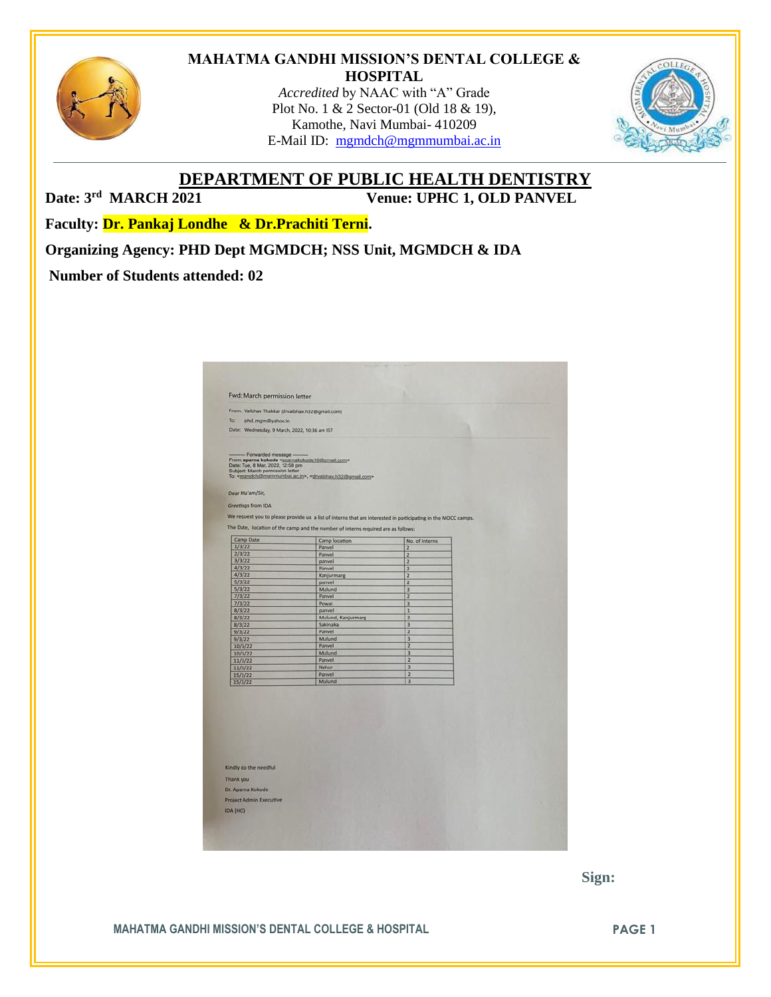

#### **MAHATMA GANDHI MISSION'S DENTAL COLLEGE & HOSPITAL**

*Accredited* by NAAC with "A" Grade Plot No. 1 & 2 Sector-01 (Old 18 & 19), Kamothe, Navi Mumbai- 410209 E-Mail ID: [mgmdch@mgmmumbai.ac.in](mailto:mgmdch@mgmmumbai.ac.in)



**DEPARTMENT OF PUBLIC HEALTH DENTISTRY**

Date: 3<sup>rd</sup> MARCH 2021

**Venue: UPHC 1, OLD PANVEL** 

**Faculty: Dr. Pankaj Londhe & Dr.Prachiti Terni.** 

**Organizing Agency: PHD Dept MGMDCH; NSS Unit, MGMDCH & IDA**

### **Number of Students attended: 02**

| From: Vaibhav Thakkar (drvaibhav.h32@gmail.com)<br>Ta:<br>phd_mgm@yahoo.in<br>Date: Wednesday, 9 March, 2022, 10:36 am IST<br>- Forwarded message -<br>From: aparna kokode <aparnakokode10@gmail.com><br/>Date: Tue, 8 Mar, 2022, 12:58 pm<br/>Subject: March permission letter<br/>To: <mandch@mammumbai.ac.in>, <drvaibhav.h32@gmail.com><br/>Dear Ma'am/Sir,<br/>Greetings from IDA<br/>We request you to please provide us a list of interns that are interested in participating in the MOCC camps.<br/>The Date, location of the camp and the number of interns required are as follows:<br/>Camp Date<br/>Camp location<br/>No. of interns<br/>1/3/22<br/>Panvel<br/><math>\overline{2}</math><br/>2/3/22<br/>Panvel<br/><math>\overline{z}</math><br/>3/3/22<br/>panvel<br/><math>\overline{2}</math><br/>4/3/22<br/>Panvel<br/>2<br/>4/3/22<br/><math>\overline{z}</math><br/>Kanjurmarg<br/>5/3/22<br/>2<br/>panvel<br/>5/3/22<br/>Mulund<br/>3<br/>7/3/22<br/>Panvel<br/><math>\overline{z}</math><br/>7/3/22<br/>Powai<br/>3<br/>8/3/22<br/>panvel<br/><math>\mathbf{1}</math><br/><math>\overline{2}</math><br/>8/3/22<br/>Mulund, Kanjurmarg<br/><math>\overline{3}</math><br/>8/3/22<br/>Sakinaka<br/><math>\overline{z}</math><br/>9/3/22<br/>Panvel<br/>3<br/>Mulund<br/>9/3/22<br/><math>\overline{z}</math><br/>10/3/22<br/>Panvel<br/>Mulund<br/><math>\overline{3}</math><br/>10/3/22</drvaibhav.h32@gmail.com></mandch@mammumbai.ac.in></aparnakokode10@gmail.com> |                                   |
|------------------------------------------------------------------------------------------------------------------------------------------------------------------------------------------------------------------------------------------------------------------------------------------------------------------------------------------------------------------------------------------------------------------------------------------------------------------------------------------------------------------------------------------------------------------------------------------------------------------------------------------------------------------------------------------------------------------------------------------------------------------------------------------------------------------------------------------------------------------------------------------------------------------------------------------------------------------------------------------------------------------------------------------------------------------------------------------------------------------------------------------------------------------------------------------------------------------------------------------------------------------------------------------------------------------------------------------------------------------------------------------------------------------------------------------------------------------------------------------|-----------------------------------|
|                                                                                                                                                                                                                                                                                                                                                                                                                                                                                                                                                                                                                                                                                                                                                                                                                                                                                                                                                                                                                                                                                                                                                                                                                                                                                                                                                                                                                                                                                          |                                   |
|                                                                                                                                                                                                                                                                                                                                                                                                                                                                                                                                                                                                                                                                                                                                                                                                                                                                                                                                                                                                                                                                                                                                                                                                                                                                                                                                                                                                                                                                                          |                                   |
|                                                                                                                                                                                                                                                                                                                                                                                                                                                                                                                                                                                                                                                                                                                                                                                                                                                                                                                                                                                                                                                                                                                                                                                                                                                                                                                                                                                                                                                                                          |                                   |
|                                                                                                                                                                                                                                                                                                                                                                                                                                                                                                                                                                                                                                                                                                                                                                                                                                                                                                                                                                                                                                                                                                                                                                                                                                                                                                                                                                                                                                                                                          |                                   |
|                                                                                                                                                                                                                                                                                                                                                                                                                                                                                                                                                                                                                                                                                                                                                                                                                                                                                                                                                                                                                                                                                                                                                                                                                                                                                                                                                                                                                                                                                          |                                   |
|                                                                                                                                                                                                                                                                                                                                                                                                                                                                                                                                                                                                                                                                                                                                                                                                                                                                                                                                                                                                                                                                                                                                                                                                                                                                                                                                                                                                                                                                                          |                                   |
|                                                                                                                                                                                                                                                                                                                                                                                                                                                                                                                                                                                                                                                                                                                                                                                                                                                                                                                                                                                                                                                                                                                                                                                                                                                                                                                                                                                                                                                                                          |                                   |
|                                                                                                                                                                                                                                                                                                                                                                                                                                                                                                                                                                                                                                                                                                                                                                                                                                                                                                                                                                                                                                                                                                                                                                                                                                                                                                                                                                                                                                                                                          |                                   |
|                                                                                                                                                                                                                                                                                                                                                                                                                                                                                                                                                                                                                                                                                                                                                                                                                                                                                                                                                                                                                                                                                                                                                                                                                                                                                                                                                                                                                                                                                          |                                   |
|                                                                                                                                                                                                                                                                                                                                                                                                                                                                                                                                                                                                                                                                                                                                                                                                                                                                                                                                                                                                                                                                                                                                                                                                                                                                                                                                                                                                                                                                                          |                                   |
|                                                                                                                                                                                                                                                                                                                                                                                                                                                                                                                                                                                                                                                                                                                                                                                                                                                                                                                                                                                                                                                                                                                                                                                                                                                                                                                                                                                                                                                                                          |                                   |
|                                                                                                                                                                                                                                                                                                                                                                                                                                                                                                                                                                                                                                                                                                                                                                                                                                                                                                                                                                                                                                                                                                                                                                                                                                                                                                                                                                                                                                                                                          |                                   |
|                                                                                                                                                                                                                                                                                                                                                                                                                                                                                                                                                                                                                                                                                                                                                                                                                                                                                                                                                                                                                                                                                                                                                                                                                                                                                                                                                                                                                                                                                          |                                   |
|                                                                                                                                                                                                                                                                                                                                                                                                                                                                                                                                                                                                                                                                                                                                                                                                                                                                                                                                                                                                                                                                                                                                                                                                                                                                                                                                                                                                                                                                                          |                                   |
|                                                                                                                                                                                                                                                                                                                                                                                                                                                                                                                                                                                                                                                                                                                                                                                                                                                                                                                                                                                                                                                                                                                                                                                                                                                                                                                                                                                                                                                                                          |                                   |
|                                                                                                                                                                                                                                                                                                                                                                                                                                                                                                                                                                                                                                                                                                                                                                                                                                                                                                                                                                                                                                                                                                                                                                                                                                                                                                                                                                                                                                                                                          |                                   |
|                                                                                                                                                                                                                                                                                                                                                                                                                                                                                                                                                                                                                                                                                                                                                                                                                                                                                                                                                                                                                                                                                                                                                                                                                                                                                                                                                                                                                                                                                          |                                   |
|                                                                                                                                                                                                                                                                                                                                                                                                                                                                                                                                                                                                                                                                                                                                                                                                                                                                                                                                                                                                                                                                                                                                                                                                                                                                                                                                                                                                                                                                                          |                                   |
|                                                                                                                                                                                                                                                                                                                                                                                                                                                                                                                                                                                                                                                                                                                                                                                                                                                                                                                                                                                                                                                                                                                                                                                                                                                                                                                                                                                                                                                                                          |                                   |
|                                                                                                                                                                                                                                                                                                                                                                                                                                                                                                                                                                                                                                                                                                                                                                                                                                                                                                                                                                                                                                                                                                                                                                                                                                                                                                                                                                                                                                                                                          |                                   |
|                                                                                                                                                                                                                                                                                                                                                                                                                                                                                                                                                                                                                                                                                                                                                                                                                                                                                                                                                                                                                                                                                                                                                                                                                                                                                                                                                                                                                                                                                          |                                   |
|                                                                                                                                                                                                                                                                                                                                                                                                                                                                                                                                                                                                                                                                                                                                                                                                                                                                                                                                                                                                                                                                                                                                                                                                                                                                                                                                                                                                                                                                                          |                                   |
|                                                                                                                                                                                                                                                                                                                                                                                                                                                                                                                                                                                                                                                                                                                                                                                                                                                                                                                                                                                                                                                                                                                                                                                                                                                                                                                                                                                                                                                                                          |                                   |
|                                                                                                                                                                                                                                                                                                                                                                                                                                                                                                                                                                                                                                                                                                                                                                                                                                                                                                                                                                                                                                                                                                                                                                                                                                                                                                                                                                                                                                                                                          |                                   |
|                                                                                                                                                                                                                                                                                                                                                                                                                                                                                                                                                                                                                                                                                                                                                                                                                                                                                                                                                                                                                                                                                                                                                                                                                                                                                                                                                                                                                                                                                          |                                   |
|                                                                                                                                                                                                                                                                                                                                                                                                                                                                                                                                                                                                                                                                                                                                                                                                                                                                                                                                                                                                                                                                                                                                                                                                                                                                                                                                                                                                                                                                                          |                                   |
|                                                                                                                                                                                                                                                                                                                                                                                                                                                                                                                                                                                                                                                                                                                                                                                                                                                                                                                                                                                                                                                                                                                                                                                                                                                                                                                                                                                                                                                                                          | Panvel<br>$\overline{\mathbf{z}}$ |
| 11/3/22<br>$\overline{3}$<br>Nahur<br>11/3/22                                                                                                                                                                                                                                                                                                                                                                                                                                                                                                                                                                                                                                                                                                                                                                                                                                                                                                                                                                                                                                                                                                                                                                                                                                                                                                                                                                                                                                            |                                   |
| $\overline{2}$<br>Panvel<br>15/3/22                                                                                                                                                                                                                                                                                                                                                                                                                                                                                                                                                                                                                                                                                                                                                                                                                                                                                                                                                                                                                                                                                                                                                                                                                                                                                                                                                                                                                                                      |                                   |
| 3<br>Mulund<br>15/3/22                                                                                                                                                                                                                                                                                                                                                                                                                                                                                                                                                                                                                                                                                                                                                                                                                                                                                                                                                                                                                                                                                                                                                                                                                                                                                                                                                                                                                                                                   |                                   |
|                                                                                                                                                                                                                                                                                                                                                                                                                                                                                                                                                                                                                                                                                                                                                                                                                                                                                                                                                                                                                                                                                                                                                                                                                                                                                                                                                                                                                                                                                          |                                   |

 **Sign:**

**MAHATMA GANDHI MISSION'S DENTAL COLLEGE & HOSPITAL PAGE 1**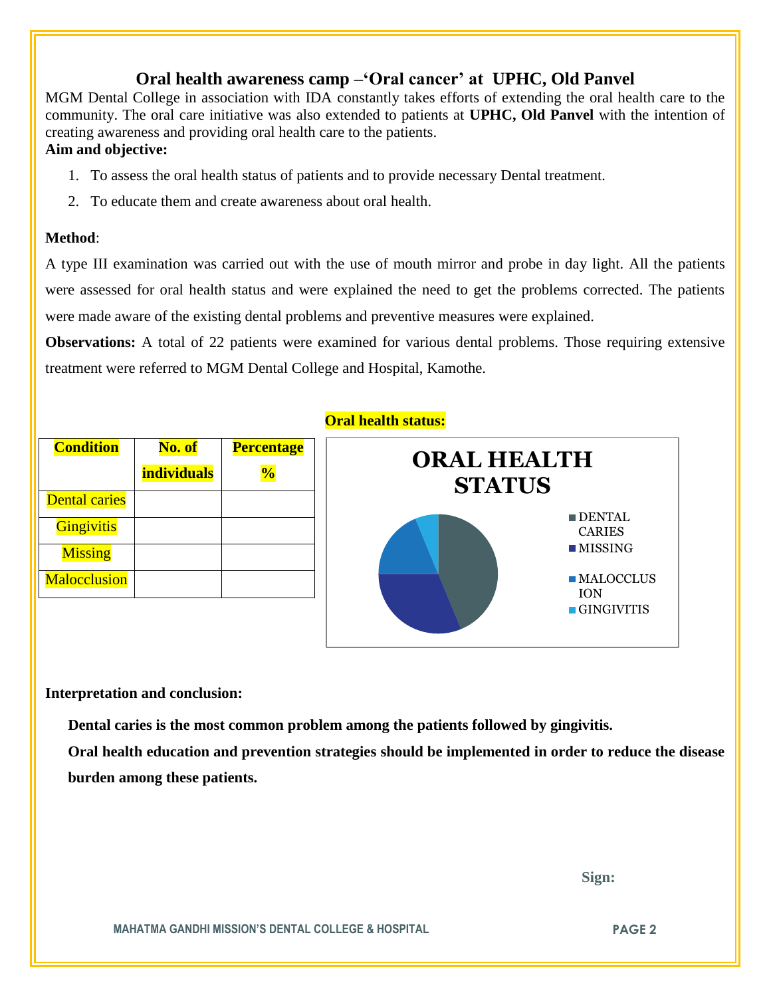## **Oral health awareness camp –'Oral cancer' at UPHC, Old Panvel**

MGM Dental College in association with IDA constantly takes efforts of extending the oral health care to the community. The oral care initiative was also extended to patients at **UPHC, Old Panvel** with the intention of creating awareness and providing oral health care to the patients.

### **Aim and objective:**

- 1. To assess the oral health status of patients and to provide necessary Dental treatment.
- 2. To educate them and create awareness about oral health.

#### **Method**:

A type III examination was carried out with the use of mouth mirror and probe in day light. All the patients were assessed for oral health status and were explained the need to get the problems corrected. The patients were made aware of the existing dental problems and preventive measures were explained.

**Observations:** A total of 22 patients were examined for various dental problems. Those requiring extensive treatment were referred to MGM Dental College and Hospital, Kamothe.

| <b>Condition</b>     | No. of             | <b>Percentage</b> |
|----------------------|--------------------|-------------------|
|                      | <b>individuals</b> | $\frac{1}{2}$     |
| <b>Dental caries</b> |                    |                   |
| <b>Gingivitis</b>    |                    |                   |
| <b>Missing</b>       |                    |                   |
| <b>Malocclusion</b>  |                    |                   |

#### **Oral health status:**



#### **Interpretation and conclusion:**

 **Dental caries is the most common problem among the patients followed by gingivitis.**

**Oral health education and prevention strategies should be implemented in order to reduce the disease burden among these patients.**

 **Sign:**

**MAHATMA GANDHI MISSION'S DENTAL COLLEGE & HOSPITAL PAGE 2**